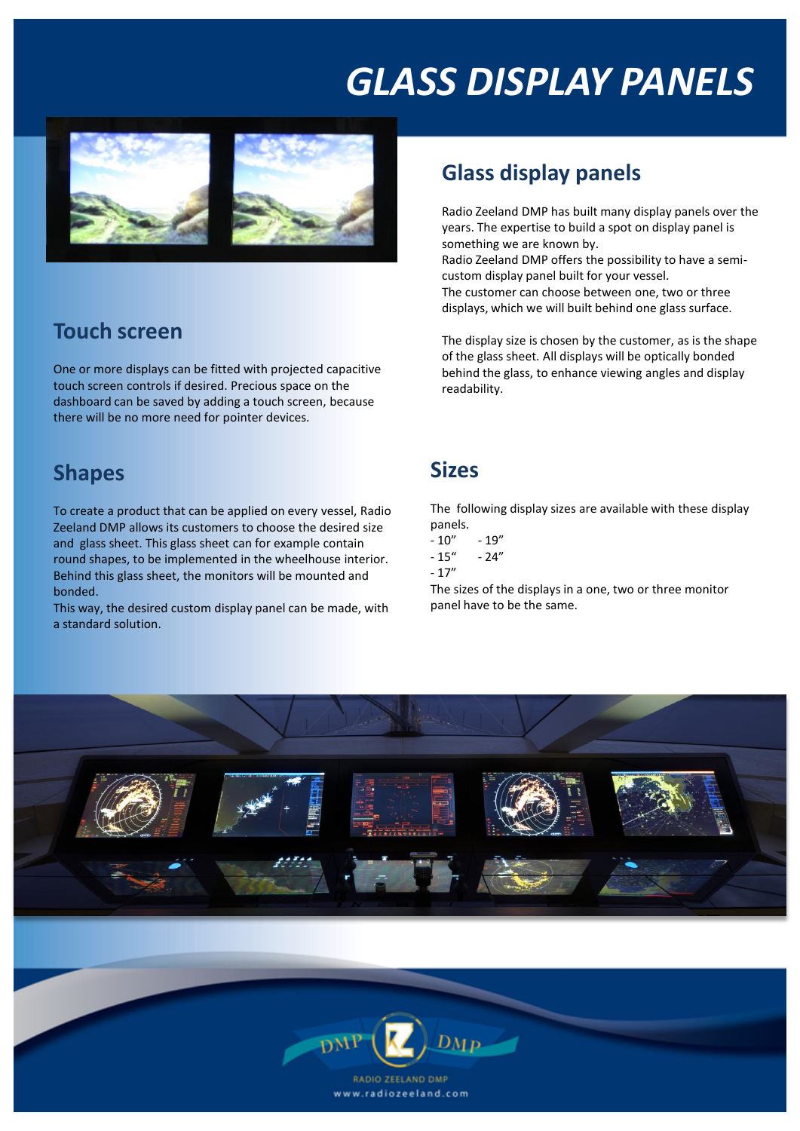# *GLASS DISPLAY PANELS*



### **Touch screen**

One or more displays can be fitted with projected capacitive touch screen controls if desired. Precious space on the dashboard can be saved by adding a touch screen, because there will be no more need for pointer devices.

#### **Shapes**

To create a product that can be applied on every vessel, Radio Zeeland DMP allows its customers to choose the desired size and glass sheet. This glass sheet can for example contain round shapes, to be implemented in the wheelhouse interior. Behind this glass sheet, the monitors will be mounted and bonded.

This way, the desired custom display panel can be made, with a standard solution.

### **Glass display panels**

Radio Zeeland DMP has built many display panels over the years. The expertise to build a spot on display panel is something we are known by.

Radio Zeeland DMP offers the possibility to have a semicustom display panel built for your vessel. The customer can choose between one, two or three displays, which we will built behind one glass surface.

The display size is chosen by the customer, as is the shape of the glass sheet. All displays will be optically bonded behind the glass, to enhance viewing angles and display readability.

#### **Sizes**

The following display sizes are available with these display panels.

- $-10" 19"$ <br> $-15" 24"$
- $-15''$
- $-17''$

The sizes of the displays in a one, two or three monitor panel have to be the same.